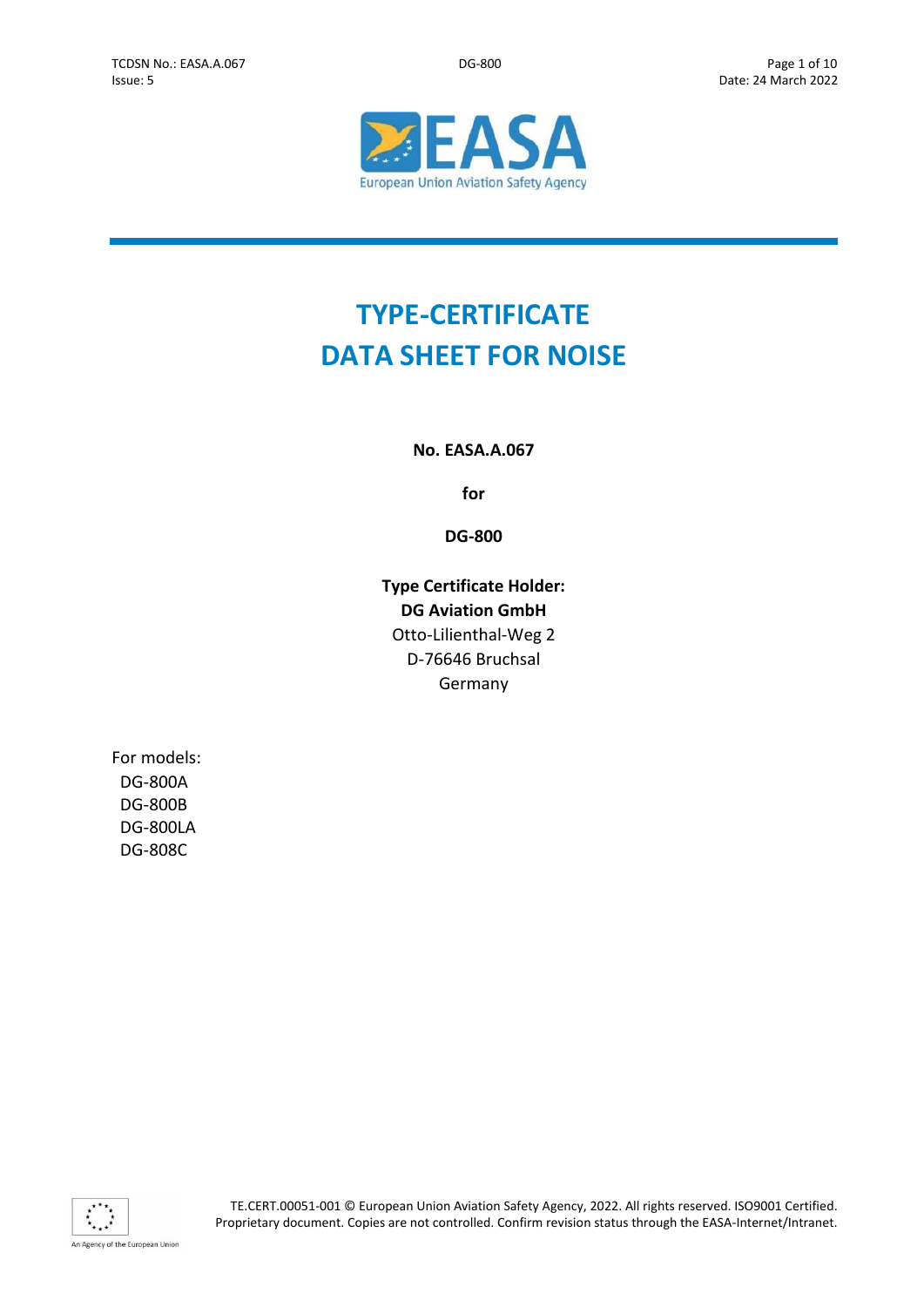

# **TYPE-CERTIFICATE DATA SHEET FOR NOISE**

**No. EASA.A.067**

**for**

**DG-800**

**Type Certificate Holder: DG Aviation GmbH** Otto-Lilienthal-Weg 2 D-76646 Bruchsal Germany

For models: DG-800A DG-800B DG-800LA DG-808C

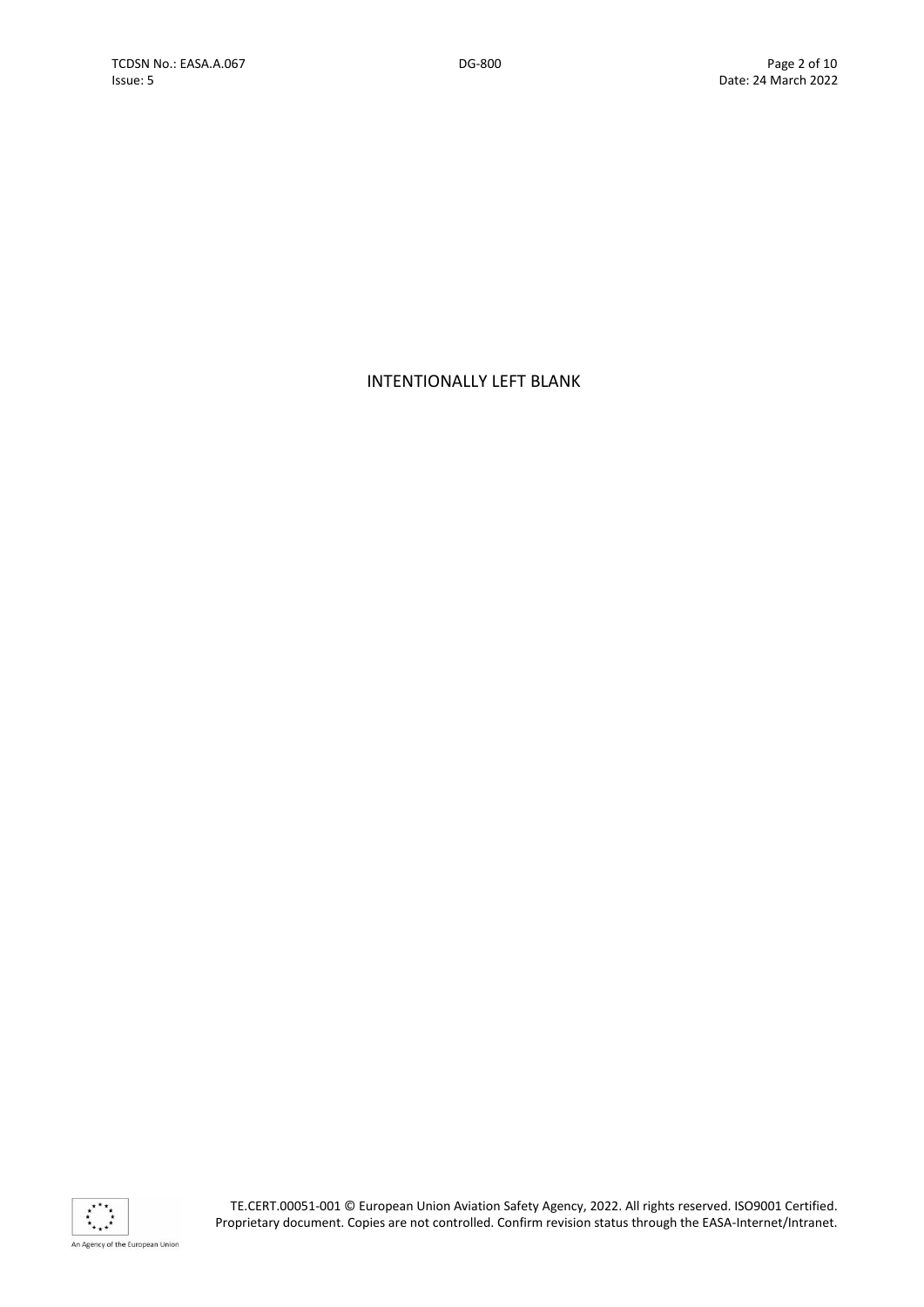## INTENTIONALLY LEFT BLANK

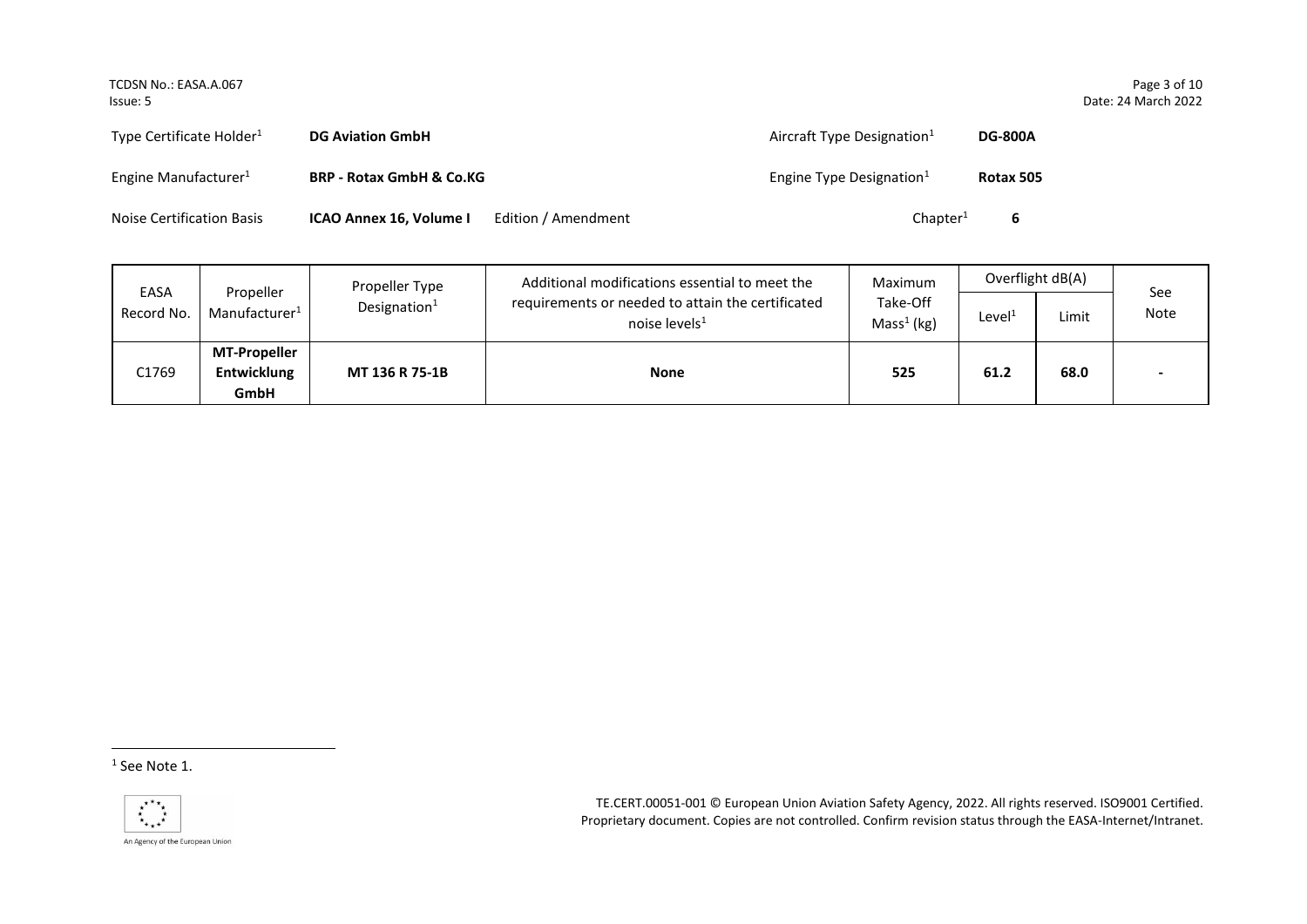| TCDSN No.: EASA.A.067<br>Issue: 5    |                                                |                                        |                | Page 3 of 10<br>Date: 24 March 2022 |
|--------------------------------------|------------------------------------------------|----------------------------------------|----------------|-------------------------------------|
| Type Certificate Holder <sup>1</sup> | <b>DG Aviation GmbH</b>                        | Aircraft Type Designation <sup>1</sup> | <b>DG-800A</b> |                                     |
| Engine Manufacturer <sup>1</sup>     | <b>BRP - Rotax GmbH &amp; Co.KG</b>            | Engine Type Designation <sup>1</sup>   | Rotax 505      |                                     |
| Noise Certification Basis            | Edition / Amendment<br>ICAO Annex 16, Volume I | Chapter <sup>1</sup>                   | 6              |                                     |

| Propeller<br>EASA | Propeller Type                                    | Additional modifications essential to meet the | <b>Maximum</b>                                                                 | Overflight dB(A)                   |                    | See   |      |
|-------------------|---------------------------------------------------|------------------------------------------------|--------------------------------------------------------------------------------|------------------------------------|--------------------|-------|------|
| Record No.        | Manufacturer <sup>1</sup>                         | Designation <sup>1</sup>                       | requirements or needed to attain the certificated<br>noise levels <sup>1</sup> | Take-Off<br>Mass <sup>1</sup> (kg) | Level <sup>1</sup> | Limit | Note |
| C1769             | <b>MT-Propeller</b><br><b>Entwicklung</b><br>GmbH | MT 136 R 75-1B                                 | None                                                                           | 525                                | 61.2               | 68.0  |      |

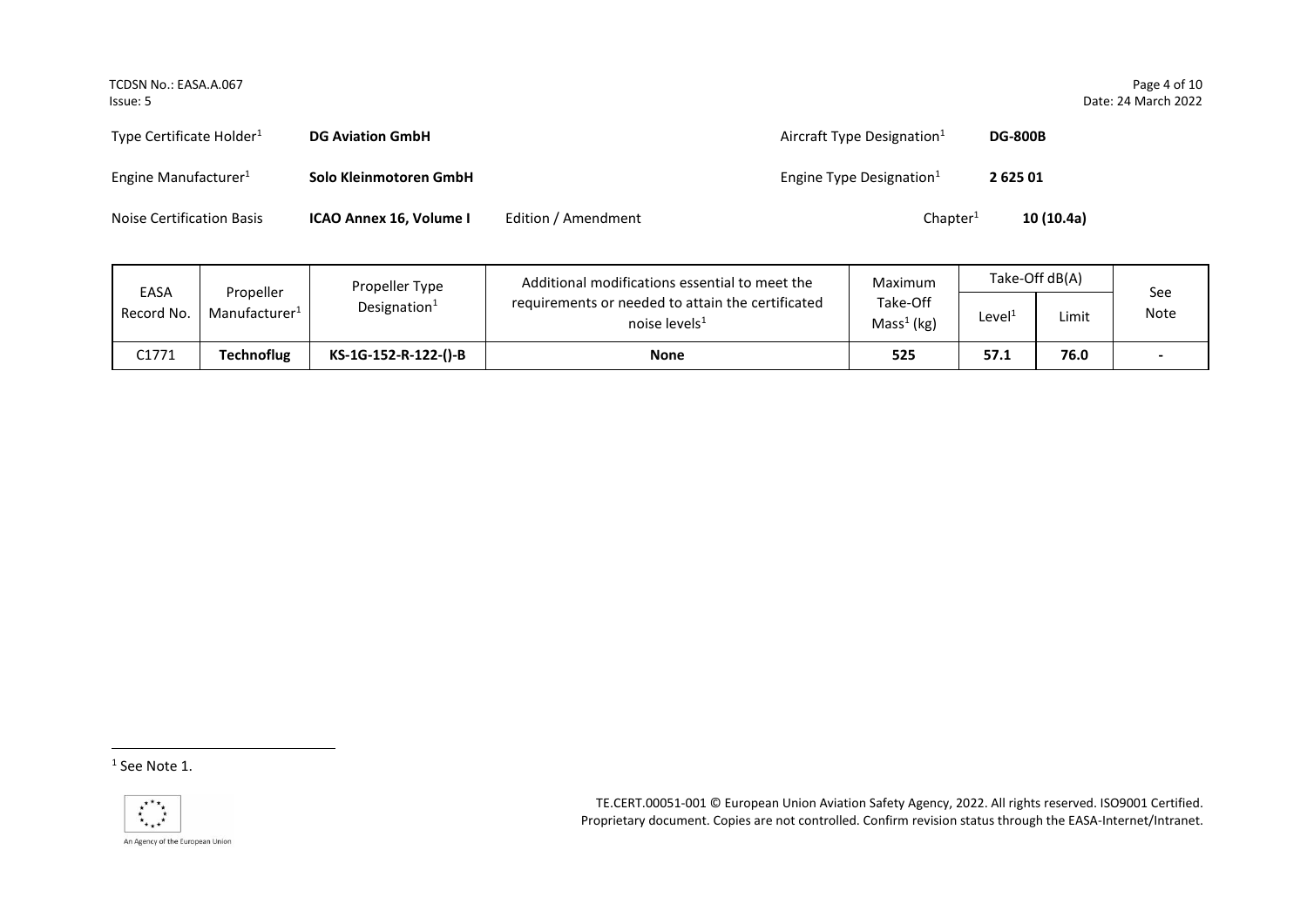| TCDSN No.: EASA.A.067<br>Issue: 5    |                         |                     |                                        | Page 4 of 10<br>Date: 24 March 2022 |
|--------------------------------------|-------------------------|---------------------|----------------------------------------|-------------------------------------|
| Type Certificate Holder <sup>1</sup> | <b>DG Aviation GmbH</b> |                     | Aircraft Type Designation <sup>1</sup> | <b>DG-800B</b>                      |
| Engine Manufacturer <sup>1</sup>     | Solo Kleinmotoren GmbH  |                     | Engine Type Designation <sup>1</sup>   | 262501                              |
| Noise Certification Basis            | ICAO Annex 16, Volume I | Edition / Amendment | Chapter <sup>1</sup>                   | 10 (10.4a)                          |

| EASA       |                                        | Propeller Type       | Additional modifications essential to meet the                                 | Maximum                            | Take-Off dB(A)   |       |             |
|------------|----------------------------------------|----------------------|--------------------------------------------------------------------------------|------------------------------------|------------------|-------|-------------|
| Record No. | Propeller<br>Manufacturer <sup>1</sup> | Designation $1$      | requirements or needed to attain the certificated<br>noise levels <sup>1</sup> | Take-Off<br>Mass <sup>1</sup> (kg) | Level $^{\rm 1}$ | Limit | See<br>Note |
| C1771      | Technoflug                             | KS-1G-152-R-122-()-B | <b>None</b>                                                                    | 525                                | 57.1             | 76.0  |             |

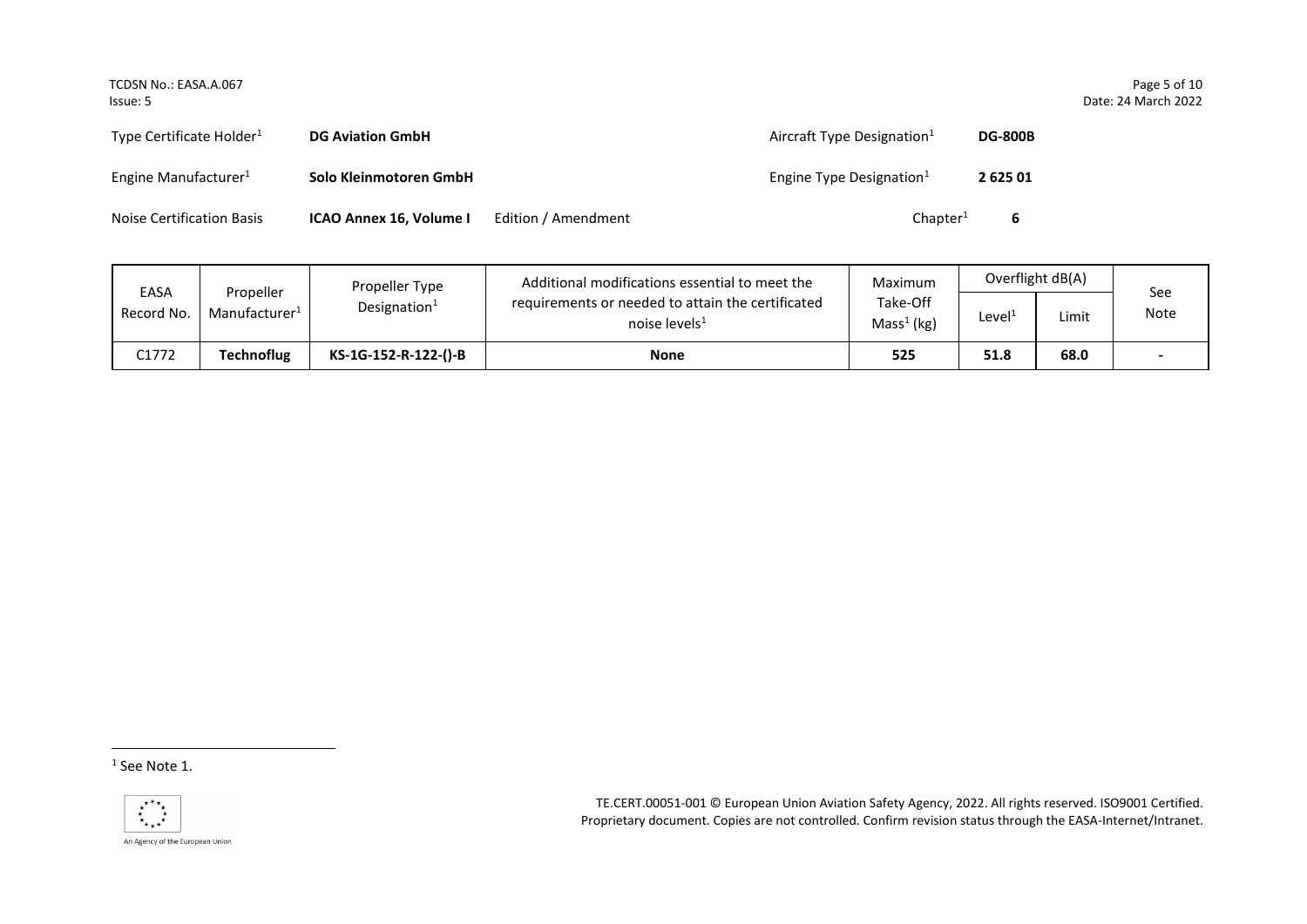| TCDSN No.: EASA.A.067<br>Issue: 5    |                         |                     |                                        |                | Page 5 of 10<br>Date: 24 March 2022 |
|--------------------------------------|-------------------------|---------------------|----------------------------------------|----------------|-------------------------------------|
| Type Certificate Holder <sup>1</sup> | <b>DG Aviation GmbH</b> |                     | Aircraft Type Designation <sup>1</sup> | <b>DG-800B</b> |                                     |
| Engine Manufacturer <sup>1</sup>     | Solo Kleinmotoren GmbH  |                     | Engine Type Designation <sup>1</sup>   | 2 625 01       |                                     |
| <b>Noise Certification Basis</b>     | ICAO Annex 16, Volume I | Edition / Amendment | Chapter <sup>1</sup>                   | 6              |                                     |

| <b>EASA</b> | Propeller                 | Propeller Type       | Additional modifications essential to meet the                                 | Maximum                  |                    | Overflight dB(A) |                          |
|-------------|---------------------------|----------------------|--------------------------------------------------------------------------------|--------------------------|--------------------|------------------|--------------------------|
| Record No.  | Manufacturer <sup>1</sup> | Designation $1$      | requirements or needed to attain the certificated<br>noise levels <sup>1</sup> | Take-Off<br>$Mass1$ (kg) | Level <sup>:</sup> | Limit            | See<br>Note              |
| C1772       | Technoflug                | KS-1G-152-R-122-()-B | <b>None</b>                                                                    | 525                      | 51.8               | 68.0             | $\overline{\phantom{0}}$ |

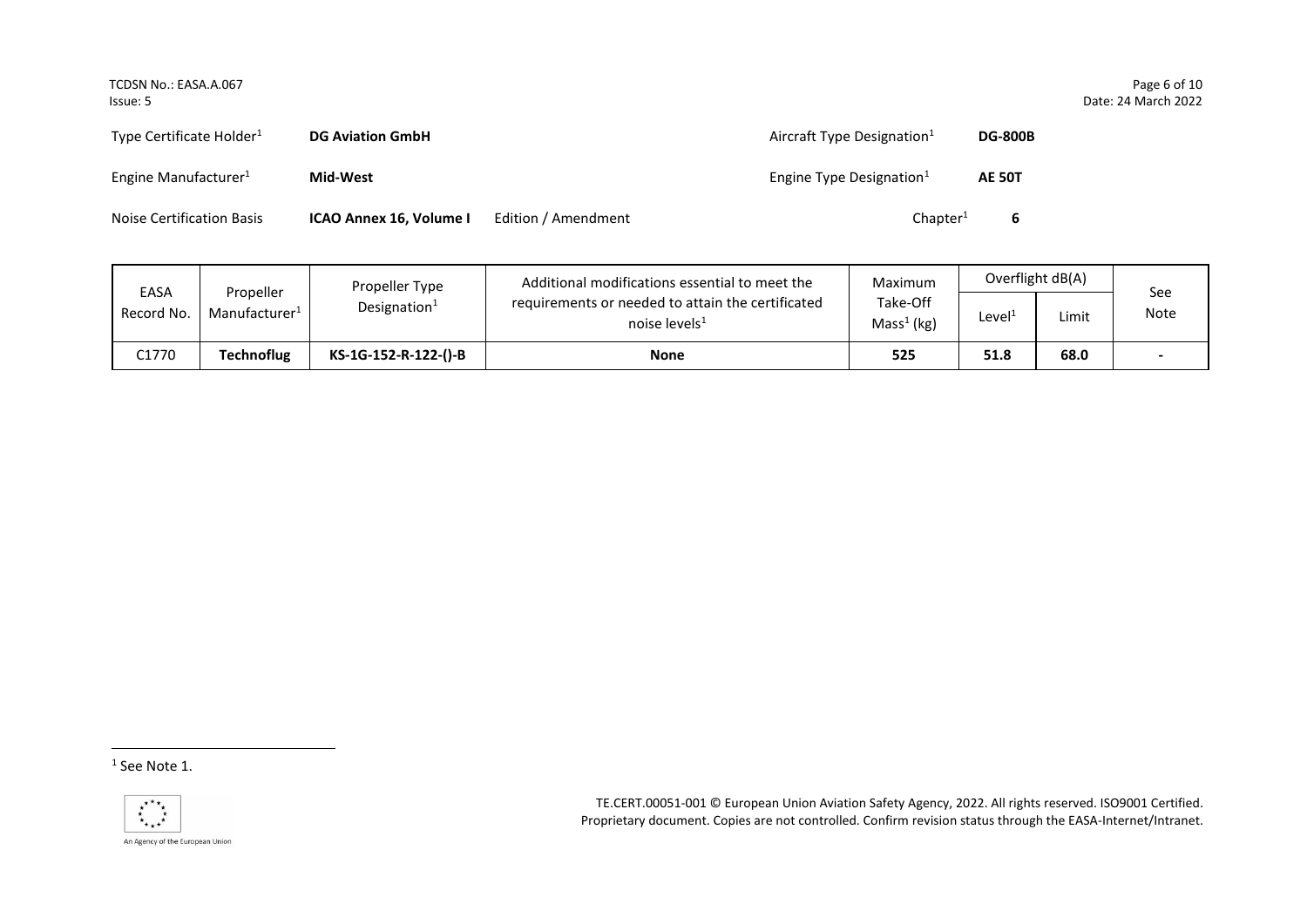| TCDSN No.: EASA.A.067<br>Issue: 5    |                                |                     |                                        |                | Page 6 of 10<br>Date: 24 March 2022 |
|--------------------------------------|--------------------------------|---------------------|----------------------------------------|----------------|-------------------------------------|
| Type Certificate Holder <sup>1</sup> | <b>DG Aviation GmbH</b>        |                     | Aircraft Type Designation <sup>1</sup> | <b>DG-800B</b> |                                     |
| Engine Manufacturer <sup>1</sup>     | Mid-West                       |                     | Engine Type Designation <sup>1</sup>   | <b>AE 50T</b>  |                                     |
| <b>Noise Certification Basis</b>     | <b>ICAO Annex 16, Volume I</b> | Edition / Amendment | Chapter <sup>1</sup>                   | 6              |                                     |

| <b>EASA</b> |                                        | Propeller Type       | Additional modifications essential to meet the                                 | Maximum                            | Overflight dB(A) |       |             |
|-------------|----------------------------------------|----------------------|--------------------------------------------------------------------------------|------------------------------------|------------------|-------|-------------|
| Record No.  | Propeller<br>Manufacturer <sup>1</sup> | Designation $1$      | requirements or needed to attain the certificated<br>noise levels <sup>1</sup> | Take-Off<br>Mass <sup>1</sup> (kg) | Level $^1$       | .imit | See<br>Note |
| C1770       | Technoflug                             | KS-1G-152-R-122-()-B | <b>None</b>                                                                    | 525                                | 51.8             | 68.0  |             |

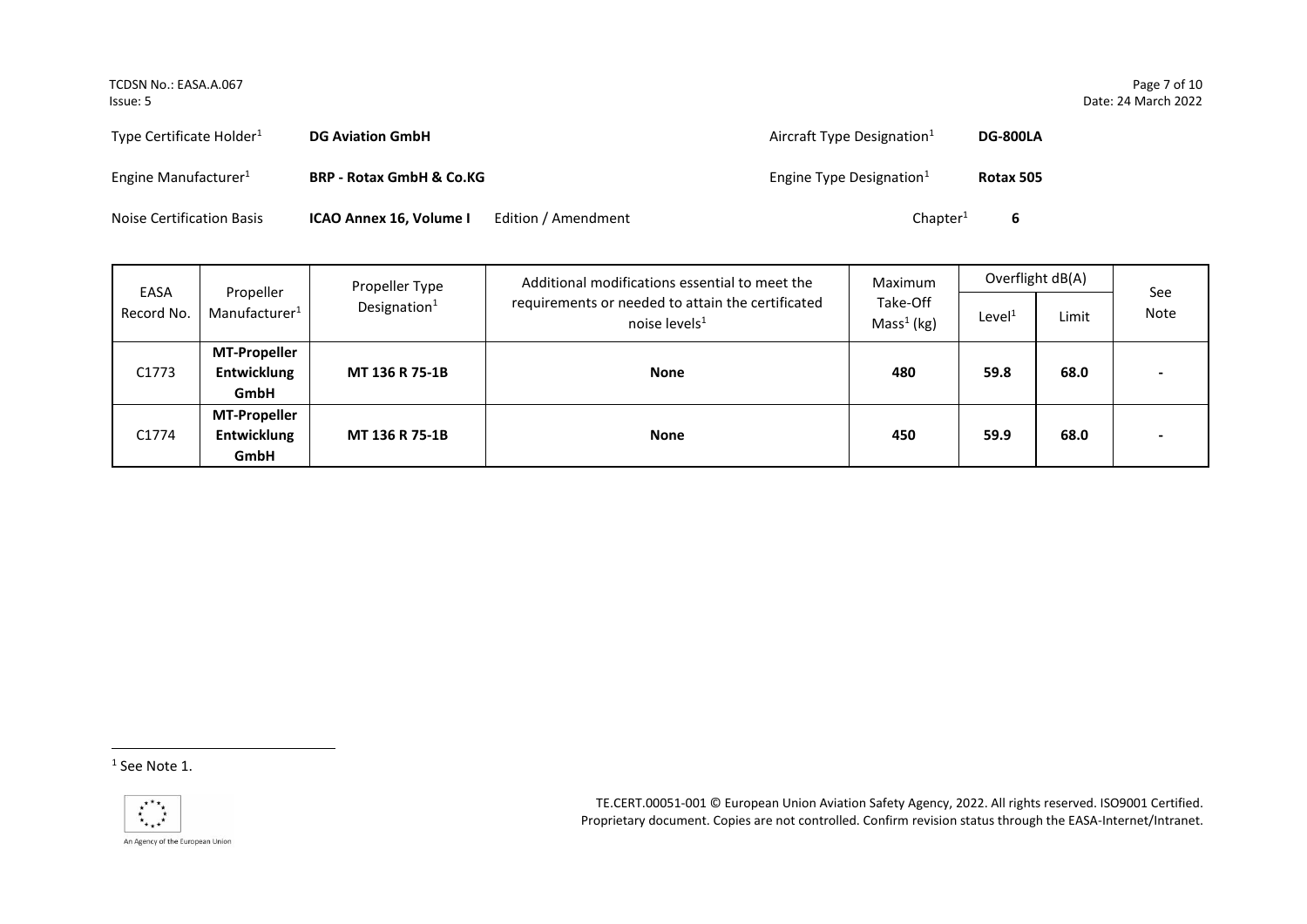| TCDSN No.: EASA.A.067<br>Issue: 5    |                                                       |                                        |                 | Page 7 of 10<br>Date: 24 March 2022 |
|--------------------------------------|-------------------------------------------------------|----------------------------------------|-----------------|-------------------------------------|
| Type Certificate Holder <sup>1</sup> | <b>DG Aviation GmbH</b>                               | Aircraft Type Designation <sup>1</sup> | <b>DG-800LA</b> |                                     |
| Engine Manufacturer <sup>1</sup>     | <b>BRP - Rotax GmbH &amp; Co.KG</b>                   | Engine Type Designation <sup>1</sup>   | Rotax 505       |                                     |
| Noise Certification Basis            | Edition / Amendment<br><b>ICAO Annex 16, Volume I</b> | Chapter <sup>1</sup>                   | 6               |                                     |

| EASA<br>Propeller<br>Manufacturer <sup>1</sup><br>Record No. |                                                                                                   | Propeller Type | Additional modifications essential to meet the | <b>Maximum</b>     | Overflight dB(A) |      | See |
|--------------------------------------------------------------|---------------------------------------------------------------------------------------------------|----------------|------------------------------------------------|--------------------|------------------|------|-----|
|                                                              | requirements or needed to attain the certificated<br>Designation $1$<br>noise levels <sup>1</sup> |                | Take-Off<br>Mass <sup>1</sup> (kg)             | Level <sup>1</sup> | Limit            | Note |     |
| C <sub>1773</sub>                                            | <b>MT-Propeller</b><br><b>Entwicklung</b><br>GmbH                                                 | MT 136 R 75-1B | <b>None</b>                                    | 480                | 59.8             | 68.0 |     |
| C1774                                                        | <b>MT-Propeller</b><br><b>Entwicklung</b><br>GmbH                                                 | MT 136 R 75-1B | <b>None</b>                                    | 450                | 59.9             | 68.0 |     |

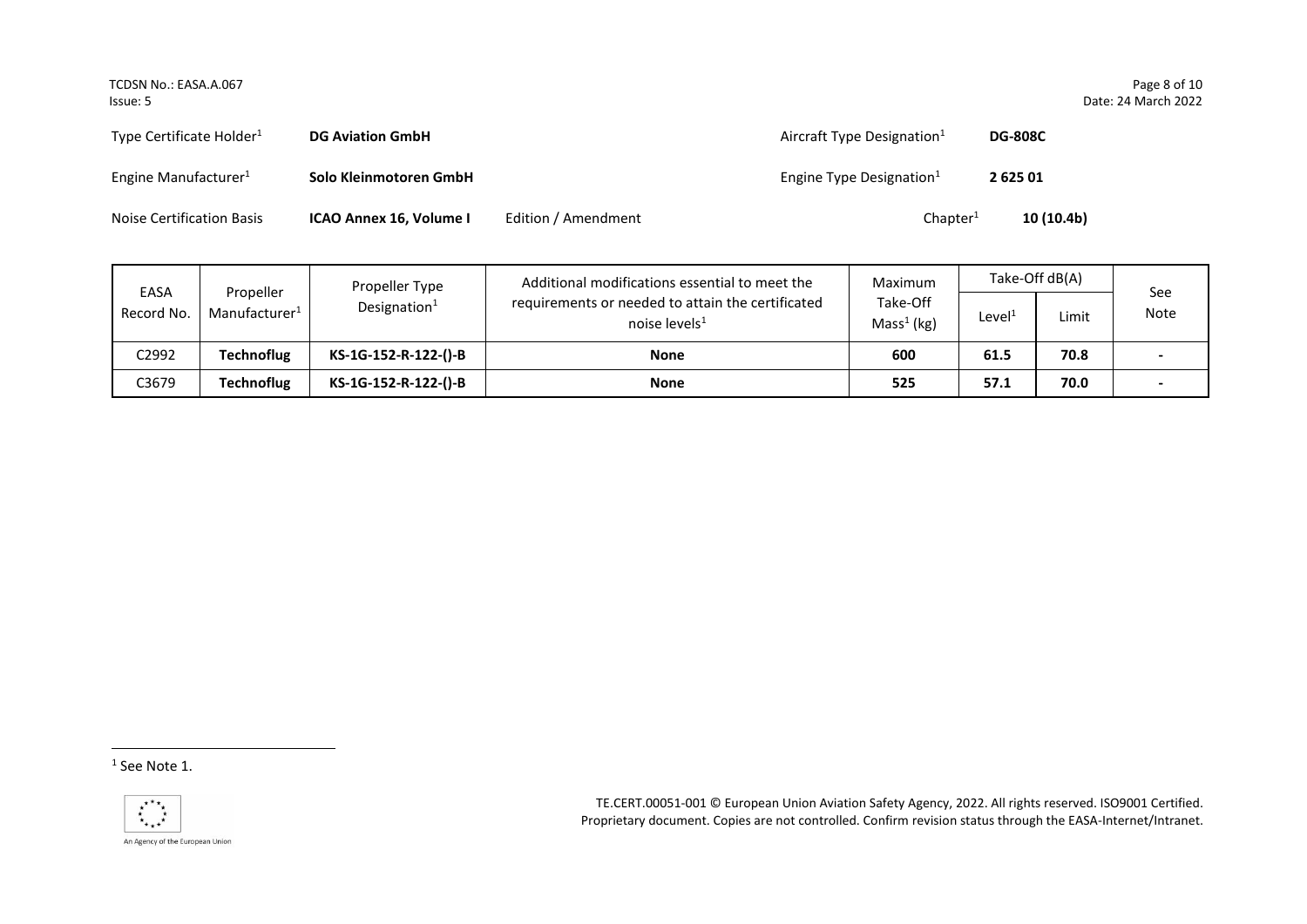| TCDSN No.: EASA.A.067<br>Issue: 5    |                                |                     |                                        |                | Page 8 of 10<br>Date: 24 March 2022 |
|--------------------------------------|--------------------------------|---------------------|----------------------------------------|----------------|-------------------------------------|
| Type Certificate Holder <sup>1</sup> | <b>DG Aviation GmbH</b>        |                     | Aircraft Type Designation <sup>1</sup> | <b>DG-808C</b> |                                     |
| Engine Manufacturer <sup>1</sup>     | Solo Kleinmotoren GmbH         |                     | Engine Type Designation <sup>1</sup>   | 262501         |                                     |
| Noise Certification Basis            | <b>ICAO Annex 16, Volume I</b> | Edition / Amendment | Chapter <sup>1</sup>                   | 10 (10.4b)     |                                     |

| EASA       | Propeller Type<br>Propeller | Additional modifications essential to meet the | Maximum                                                               | Take-Off dB(A)                     |                  | See   |             |
|------------|-----------------------------|------------------------------------------------|-----------------------------------------------------------------------|------------------------------------|------------------|-------|-------------|
| Record No. | Manufacturer <sup>1</sup>   | Designation $1$                                | requirements or needed to attain the certificated<br>noise levels $1$ | Take-Off<br>Mass <sup>1</sup> (kg) | Level $^{\rm 1}$ | Limit | <b>Note</b> |
| C2992      | <b>Technoflug</b>           | KS-1G-152-R-122-()-B                           | <b>None</b>                                                           | 600                                | 61.5             | 70.8  |             |
| C3679      | <b>Technoflug</b>           | KS-1G-152-R-122-()-B                           | <b>None</b>                                                           | 525                                | 57.1             | 70.0  |             |

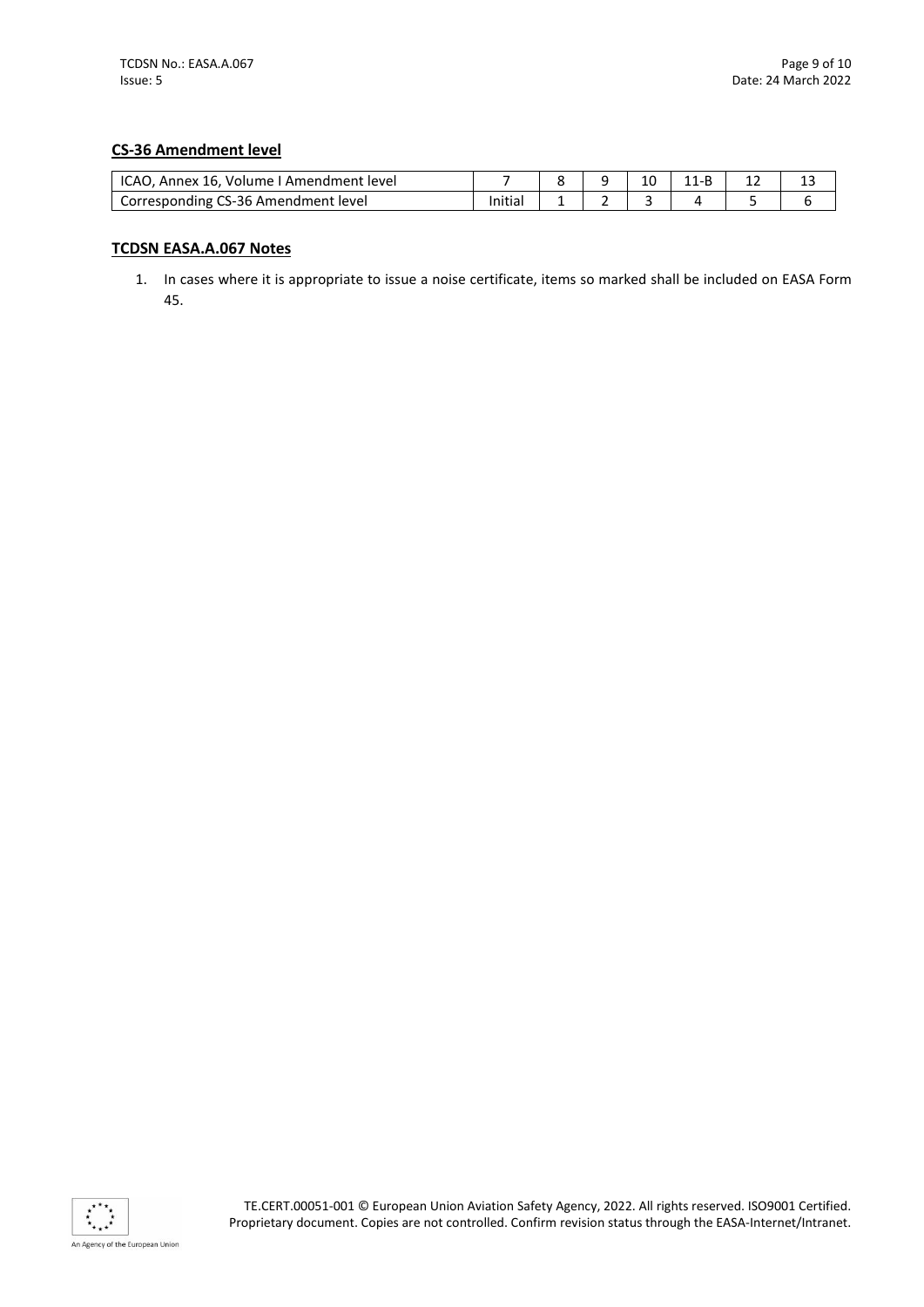#### **CS-36 Amendment level**

| ICAO.<br>I Amendment level<br>Annex<br>Volume I<br>Ίh         |  |   | ⊥∪ | -- | -- | -- |
|---------------------------------------------------------------|--|---|----|----|----|----|
| $\sim$<br>level<br>$-$<br>:S-36 Amendment<br>responding<br>ັບ |  | - |    |    |    |    |

#### **TCDSN EASA.A.067 Notes**

1. In cases where it is appropriate to issue a noise certificate, items so marked shall be included on EASA Form 45.